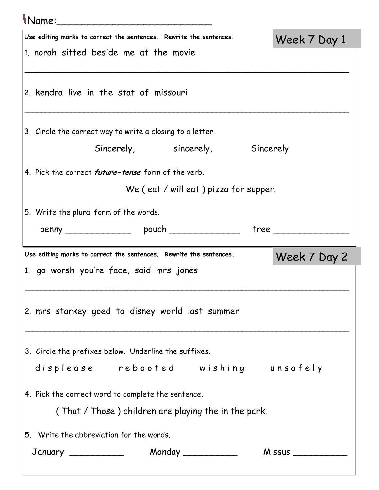## Name:\_\_\_\_\_\_\_\_\_\_\_\_\_\_\_\_\_\_\_\_\_\_\_\_\_

|                                                                                    | Use editing marks to correct the sentences. Rewrite the sentences.<br>Week 7 Day 1 |                                 |  |  |  |  |
|------------------------------------------------------------------------------------|------------------------------------------------------------------------------------|---------------------------------|--|--|--|--|
|                                                                                    | 1. norah sitted beside me at the movie                                             |                                 |  |  |  |  |
|                                                                                    |                                                                                    |                                 |  |  |  |  |
|                                                                                    | 2. kendra live in the stat of missouri                                             |                                 |  |  |  |  |
|                                                                                    |                                                                                    |                                 |  |  |  |  |
|                                                                                    | 3. Circle the correct way to write a closing to a letter.                          |                                 |  |  |  |  |
|                                                                                    |                                                                                    |                                 |  |  |  |  |
|                                                                                    |                                                                                    | Sincerely, sincerely, Sincerely |  |  |  |  |
|                                                                                    | 4. Pick the correct <i>future-tense</i> form of the verb.                          |                                 |  |  |  |  |
|                                                                                    | We (eat / will eat) pizza for supper.                                              |                                 |  |  |  |  |
|                                                                                    | 5. Write the plural form of the words.                                             |                                 |  |  |  |  |
|                                                                                    |                                                                                    |                                 |  |  |  |  |
|                                                                                    |                                                                                    |                                 |  |  |  |  |
| Use editing marks to correct the sentences. Rewrite the sentences.<br>Week 7 Day 2 |                                                                                    |                                 |  |  |  |  |
|                                                                                    |                                                                                    |                                 |  |  |  |  |
|                                                                                    | 1. go worsh you're face, said mrs jones                                            |                                 |  |  |  |  |
|                                                                                    |                                                                                    |                                 |  |  |  |  |
|                                                                                    |                                                                                    |                                 |  |  |  |  |
|                                                                                    | 2. mrs starkey goed to disney world last summer                                    |                                 |  |  |  |  |
|                                                                                    |                                                                                    |                                 |  |  |  |  |
|                                                                                    | 3. Circle the prefixes below. Underline the suffixes.                              |                                 |  |  |  |  |
|                                                                                    | displease rebooted wishing unsafely                                                |                                 |  |  |  |  |
|                                                                                    |                                                                                    |                                 |  |  |  |  |
|                                                                                    | 4. Pick the correct word to complete the sentence.                                 |                                 |  |  |  |  |
|                                                                                    | (That / Those) children are playing the in the park.                               |                                 |  |  |  |  |
|                                                                                    | 5. Write the abbreviation for the words.                                           |                                 |  |  |  |  |
|                                                                                    |                                                                                    |                                 |  |  |  |  |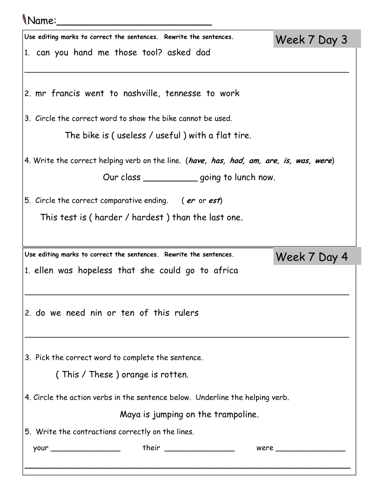| (Name:                                                                                                                                  |  |  |              |  |
|-----------------------------------------------------------------------------------------------------------------------------------------|--|--|--------------|--|
| Use editing marks to correct the sentences. Rewrite the sentences.<br>Week 7 Day 3                                                      |  |  |              |  |
| 1. can you hand me those tool? asked dad                                                                                                |  |  |              |  |
| 2. mr francis went to nashville, tennesse to work                                                                                       |  |  |              |  |
| 3. Circle the correct word to show the bike cannot be used.                                                                             |  |  |              |  |
| The bike is ( useless / useful ) with a flat tire.                                                                                      |  |  |              |  |
| 4. Write the correct helping verb on the line. (have, has, had, am, are, is, was, were)<br>Our class ______________ going to lunch now. |  |  |              |  |
| 5. Circle the correct comparative ending. (er or est)                                                                                   |  |  |              |  |
| This test is (harder / hardest) than the last one.                                                                                      |  |  |              |  |
|                                                                                                                                         |  |  |              |  |
| Use editing marks to correct the sentences. Rewrite the sentences.                                                                      |  |  | Week 7 Day 4 |  |
| 1. ellen was hopeless that she could go to africa                                                                                       |  |  |              |  |
| 2. do we need nin or ten of this rulers                                                                                                 |  |  |              |  |
| 3. Pick the correct word to complete the sentence.                                                                                      |  |  |              |  |
| (This / These) orange is rotten.                                                                                                        |  |  |              |  |
| 4. Circle the action verbs in the sentence below. Underline the helping verb.                                                           |  |  |              |  |
| Maya is jumping on the trampoline.                                                                                                      |  |  |              |  |
| 5. Write the contractions correctly on the lines.                                                                                       |  |  |              |  |
|                                                                                                                                         |  |  |              |  |
|                                                                                                                                         |  |  |              |  |